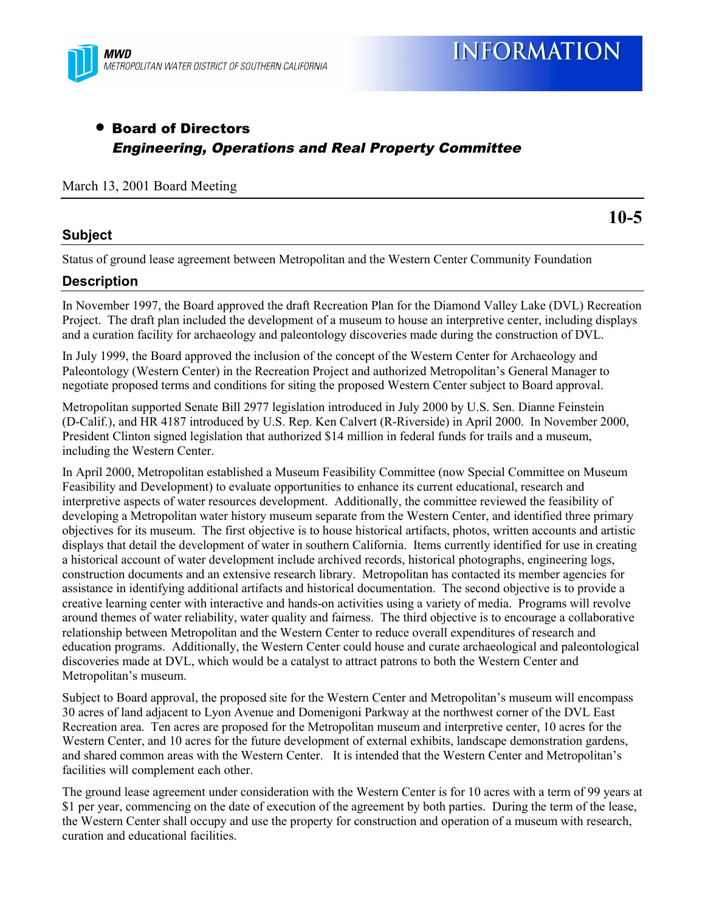

# • Board of Directors Engineering, Operations and Real Property Committee

## March 13, 2001 Board Meeting

#### **Subject**

**10-5**

Status of ground lease agreement between Metropolitan and the Western Center Community Foundation

#### **Description**

In November 1997, the Board approved the draft Recreation Plan for the Diamond Valley Lake (DVL) Recreation Project. The draft plan included the development of a museum to house an interpretive center, including displays and a curation facility for archaeology and paleontology discoveries made during the construction of DVL.

In July 1999, the Board approved the inclusion of the concept of the Western Center for Archaeology and Paleontology (Western Center) in the Recreation Project and authorized Metropolitan's General Manager to negotiate proposed terms and conditions for siting the proposed Western Center subject to Board approval.

Metropolitan supported Senate Bill 2977 legislation introduced in July 2000 by U.S. Sen. Dianne Feinstein (D-Calif.), and HR 4187 introduced by U.S. Rep. Ken Calvert (R-Riverside) in April 2000. In November 2000, President Clinton signed legislation that authorized \$14 million in federal funds for trails and a museum, including the Western Center.

In April 2000, Metropolitan established a Museum Feasibility Committee (now Special Committee on Museum Feasibility and Development) to evaluate opportunities to enhance its current educational, research and interpretive aspects of water resources development. Additionally, the committee reviewed the feasibility of developing a Metropolitan water history museum separate from the Western Center, and identified three primary objectives for its museum. The first objective is to house historical artifacts, photos, written accounts and artistic displays that detail the development of water in southern California. Items currently identified for use in creating a historical account of water development include archived records, historical photographs, engineering logs, construction documents and an extensive research library. Metropolitan has contacted its member agencies for assistance in identifying additional artifacts and historical documentation. The second objective is to provide a creative learning center with interactive and hands-on activities using a variety of media. Programs will revolve around themes of water reliability, water quality and fairness. The third objective is to encourage a collaborative relationship between Metropolitan and the Western Center to reduce overall expenditures of research and education programs. Additionally, the Western Center could house and curate archaeological and paleontological discoveries made at DVL, which would be a catalyst to attract patrons to both the Western Center and Metropolitan's museum.

Subject to Board approval, the proposed site for the Western Center and Metropolitan's museum will encompass 30 acres of land adjacent to Lyon Avenue and Domenigoni Parkway at the northwest corner of the DVL East Recreation area. Ten acres are proposed for the Metropolitan museum and interpretive center, 10 acres for the Western Center, and 10 acres for the future development of external exhibits, landscape demonstration gardens, and shared common areas with the Western Center. It is intended that the Western Center and Metropolitan's facilities will complement each other.

The ground lease agreement under consideration with the Western Center is for 10 acres with a term of 99 years at \$1 per year, commencing on the date of execution of the agreement by both parties. During the term of the lease, the Western Center shall occupy and use the property for construction and operation of a museum with research, curation and educational facilities.